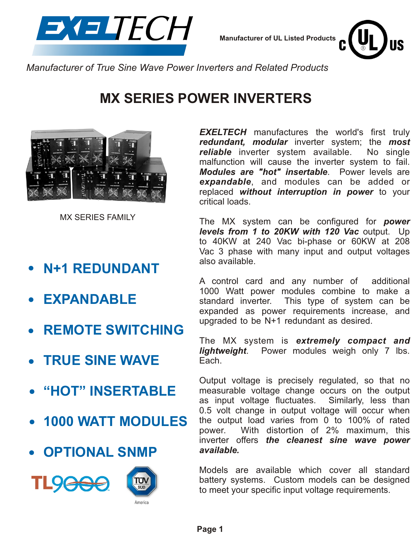

**Manufacturer of UL Listed Products**



*Manufacturer of True Sine Wave Power Inverters and Related Products*

### **MX SERIES POWER INVERTERS**



MX SERIES FAMILY

- **N+1 REDUNDANT**
- **EXPANDABLE**
- **REMOTE SWITCHING**
- **TRUE SINE WAVE**
- **"HOT" INSERTABLE**
- **1000 WATT MODULES**
- **OPTIONAL SNMP**





*EXELTECH* manufactures the world's first truly *redundant, modular* inverter system; the *most reliable* inverter system available. No single malfunction will cause the inverter system to fail. *Modules are "hot" insertable*. Power levels are *expandable*, and modules can be added or replaced *without interruption in power* to your critical loads.

The MX system can be configured for *power levels from 1 to 20KW with 120 Vac* output. Up to 40KW at 240 Vac bi-phase or 60KW at 208 Vac 3 phase with many input and output voltages also available.

A control card and any number of additional 1000 Watt power modules combine to make a standard inverter. This type of system can be expanded as power requirements increase, and upgraded to be N+1 redundant as desired.

The MX system is *extremely compact and lightweight*. Power modules weigh only 7 lbs. Each.

Output voltage is precisely regulated, so that no measurable voltage change occurs on the output as input voltage fluctuates. Similarly, less than 0.5 volt change in output voltage will occur when the output load varies from 0 to 100% of rated power. With distortion of 2% maximum, this inverter offers *the cleanest sine wave power available.*

Models are available which cover all standard battery systems. Custom models can be designed to meet your specific input voltage requirements.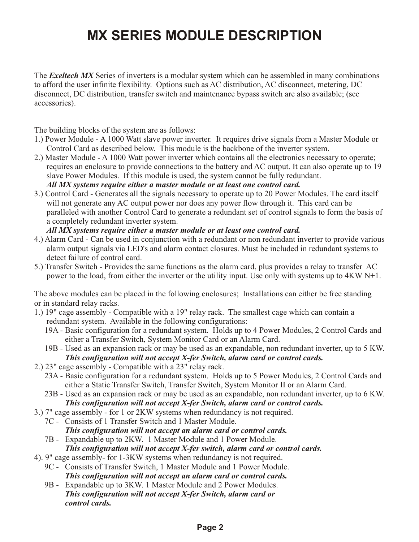# **MX SERIES MODULE DESCRIPTION**

The *Exeltech MX* Series of inverters is a modular system which can be assembled in many combinations to afford the user infinite flexibility. Options such as AC distribution, AC disconnect, metering, DC disconnect, DC distribution, transfer switch and maintenance bypass switch are also available; (see accessories).

The building blocks of the system are as follows:

- 1.) Power Module A 1000 Watt slave power inverter. It requires drive signals from a Master Module or Control Card as described below. This module is the backbone of the inverter system.
- 2.) Master Module A 1000 Watt power inverter which contains all the electronics necessary to operate; requires an enclosure to provide connections to the battery and AC output. It can also operate up to 19 slave Power Modules. If this module is used, the system cannot be fully redundant. *All MX systems require either a master module or at least one control card.*
- 3.) Control Card Generates all the signals necessary to operate up to 20 Power Modules. The card itself will not generate any AC output power nor does any power flow through it. This card can be paralleled with another Control Card to generate a redundant set of control signals to form the basis of a completely redundant inverter system.

#### *All MX systems require either a master module or at least one control card.*

- 4.) Alarm Card Can be used in conjunction with a redundant or non redundant inverter to provide various alarm output signals via LED's and alarm contact closures. Must be included in redundant systems to detect failure of control card.
- 5.) Transfer Switch Provides the same functions as the alarm card, plus provides a relay to transfer AC power to the load, from either the inverter or the utility input. Use only with systems up to 4KW N+1.

The above modules can be placed in the following enclosures; Installations can either be free standing or in standard relay racks.

- 1.) 19" cage assembly Compatible with a 19" relay rack. The smallest cage which can contain a redundant system. Available in the following configurations:
	- 19A Basic configuration for a redundant system. Holds up to 4 Power Modules, 2 Control Cards and either a Transfer Switch, System Monitor Card or an Alarm Card.
	- 19B Used as an expansion rack or may be used as an expandable, non redundant inverter, up to 5 KW.  *This configuration will not accept X-fer Switch, alarm card or control cards.*
- 2.) 23" cage assembly Compatible with a 23" relay rack.
	- 23A Basic configuration for a redundant system. Holds up to 5 Power Modules, 2 Control Cards and either a Static Transfer Switch, Transfer Switch, System Monitor II or an Alarm Card.
	- 23B Used as an expansion rack or may be used as an expandable, non redundant inverter, up to 6 KW.  *This configuration will not accept X-fer Switch, alarm card or control cards.*
- 3.) 7" cage assembly for 1 or 2KW systems when redundancy is not required.
	- 7C Consists of 1 Transfer Switch and 1 Master Module.
		- *This configuration will not accept an alarm card or control cards.*
	- 7B Expandable up to 2KW. 1 Master Module and 1 Power Module.  *This configuration will not accept X-fer switch, alarm card or control cards.*
- 4). 9" cage assembly- for 1-3KW systems when redundancy is not required.
	- 9C Consists of Transfer Switch, 1 Master Module and 1 Power Module.  *This configuration will not accept an alarm card or control cards.*
	- 9B Expandable up to 3KW. 1 Master Module and 2 Power Modules.  *This configuration will not accept X-fer Switch, alarm card or control cards.*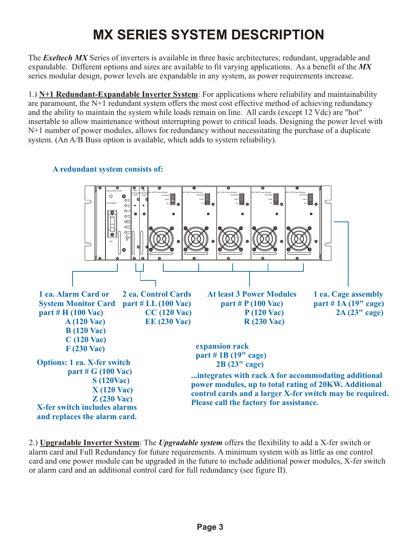# **MX SERIES SYSTEM DESCRIPTION**

The *Exeltech MX* Series of inverters is available in three basic architectures; redundant, upgradable and expandable. Different options and sizes are available to fit varying applications. As a benefit of the *MX* series modular design, power levels are expandable in any system, as power requirements increase.

1.) **N+1 Redundant-Expandable Inverter System**: For applications where reliability and maintainability are paramount, the N+1 redundant system offers the most cost effective method of achieving redundancy and the ability to maintain the system while loads remain on line. All cards (except 12 Vdc) are "hot" insertable to allow maintenance without interrupting power to critical loads. Designing the power level with N+1 number of power modules, allows for redundancy without necessitating the purchase of a duplicate system. (An A/B Buss option is available, which adds to system reliability).



**A redundant system consists of:**

2.) **Upgradable Inverter System**: The *Upgradable system* offers the flexibility to add a X-fer switch or alarm card and Full Redundancy for future requirements. A minimum system with as little as one control card and one power module can be upgraded in the future to include additional power modules, X-fer switch or alarm card and an additional control card for full redundancy (see figure II).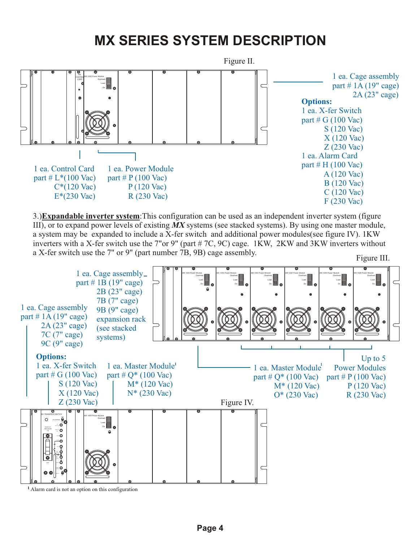# **MX SERIES SYSTEM DESCRIPTION**



3.)**Expandable inverter system**:This configuration can be used as an independent inverter system (figure III), or to expand power levels of existing *MX* systems (see stacked systems). By using one master module, a system may be expanded to include a X-fer switch and additional power modules(see figure IV). 1KW inverters with a X-fer switch use the 7"or 9" (part # 7C, 9C) cage. 1KW, 2KW and 3KW inverters without a X-fer switch use the 7" or 9" (part number 7B, 9B) cage assembly.



**Page 4**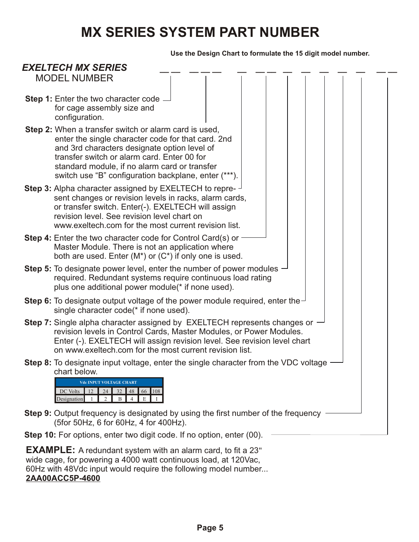### **MX SERIES SYSTEM PART NUMBER**

**Use the Design Chart to formulate the 15 digit model number.**



wide cage, for powering a 4000 watt continuous load, at 120Vac, 60Hz with 48Vdc input would require the following model number...

#### **2AA00ACC5P-4600**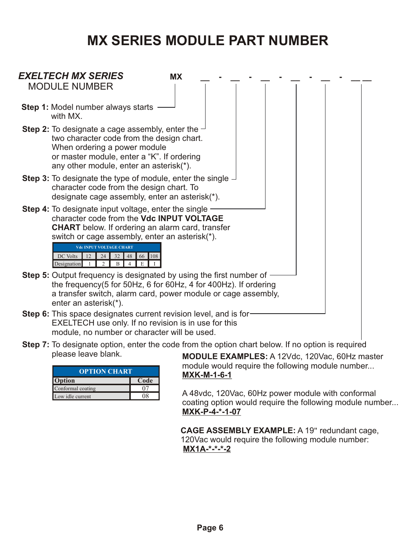### **MX SERIES MODULE PART NUMBER**



**Step 7:** To designate option, enter the code from the option chart below. If no option is required please leave blank.

| <b>OPTION CHART</b> |      |  |
|---------------------|------|--|
| <b>Option</b>       | Code |  |
| Conformal coating   |      |  |
| Low idle current    |      |  |

**MODULE EXAMPLES:** A 12Vdc, 120Vac, 60Hz master module would require the following module number... **MXK-M-1-6-1**

A 48vdc, 120Vac, 60Hz power module with conformal coating option would require the following module number... **MXK-P-4-\*-1-07**

**CAGE ASSEMBLY EXAMPLE:** A 19" redundant cage, 120Vac would require the following module number: **MX1A-\*-\*-\*-2**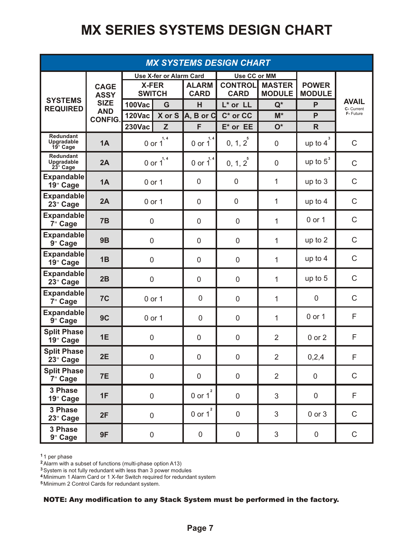# **MX SERIES SYSTEMS DESIGN CHART**

| <b>MX SYSTEMS DESIGN CHART</b>             |                              |                                |                |                             |                               |                                |                               |                            |
|--------------------------------------------|------------------------------|--------------------------------|----------------|-----------------------------|-------------------------------|--------------------------------|-------------------------------|----------------------------|
|                                            |                              | <b>Use X-fer or Alarm Card</b> |                |                             | Use CC or MM                  |                                |                               |                            |
|                                            | <b>CAGE</b><br><b>ASSY</b>   | <b>X-FER</b><br><b>SWITCH</b>  |                | <b>ALARM</b><br><b>CARD</b> | <b>CONTROL</b><br><b>CARD</b> | <b>MASTER</b><br><b>MODULE</b> | <b>POWER</b><br><b>MODULE</b> |                            |
| <b>SYSTEMS</b><br><b>REQUIRED</b>          | <b>SIZE</b>                  | <b>100Vac</b>                  | G              | H                           | L* or LL                      | $Q^*$                          | P                             | <b>AVAIL</b><br>C- Current |
|                                            | <b>AND</b><br><b>CONFIG.</b> | <b>120Vac</b>                  | X or S         | $A, B$ or $C$               | $C^*$ or $CC$                 | $M^*$                          | P                             | F- Future                  |
|                                            |                              | <b>230Vac</b>                  | Z              | F                           | $E^*$ or $EE$                 | $O^*$                          | $\mathsf{R}$                  |                            |
| <b>Redundant</b><br>Upgradable<br>19" Cage | 1A                           |                                | 0 or $1^{1,4}$ | 1, 4<br>$0$ or $1$          | $0, 1, 2^{5}$                 | $\overline{0}$                 | 3<br>up to $4$                | $\mathsf{C}$               |
| <b>Redundant</b><br>Upgradable<br>23" Cage | 2A                           |                                | 0 or $1^{1,4}$ | 0 or $1^{1,4}$              | $0, 1, 2^5$                   | $\mathbf 0$                    | up to $5^3$                   | $\mathsf C$                |
| <b>Expandable</b><br>19" Cage              | 1A                           |                                | 0 or 1         | $\mathbf 0$                 | $\mathbf 0$                   | 1                              | up to 3                       | $\mathsf C$                |
| <b>Expandable</b><br>23" Cage              | 2A                           | 0 or 1                         |                | $\mathbf 0$                 | $\mathbf 0$                   | $\mathbf{1}$                   | up to 4                       | $\mathsf C$                |
| <b>Expandable</b><br>7" Cage               | 7B                           | $\mathbf 0$                    |                | $\overline{0}$              | $\overline{0}$                | $\mathbf{1}$                   | 0 or 1                        | $\mathsf C$                |
| <b>Expandable</b><br>9" Cage               | 9B                           | $\boldsymbol{0}$               |                | $\mathbf 0$                 | $\mathbf 0$                   | $\mathbf{1}$                   | up to 2                       | $\mathsf C$                |
| <b>Expandable</b><br>19" Cage              | 1B                           | $\mathbf 0$                    |                | $\overline{0}$              | $\overline{0}$                | 1                              | up to 4                       | $\mathsf C$                |
| <b>Expandable</b><br>23" Cage              | 2B                           | $\mathbf 0$                    |                | $\overline{0}$              | $\overline{0}$                | $\mathbf{1}$                   | up to 5                       | $\mathsf C$                |
| <b>Expandable</b><br>7" Cage               | 7C                           | 0 or 1                         |                | $\boldsymbol{0}$            | $\overline{0}$                | $\mathbf{1}$                   | $\boldsymbol{0}$              | $\mathsf C$                |
| <b>Expandable</b><br>9" Cage               | 9C                           | 0 or 1                         |                | 0                           | $\mathbf 0$                   | 1                              | 0 or 1                        | F                          |
| <b>Split Phase</b><br>19" Cage             | 1E                           | $\boldsymbol{0}$               |                | $\mathbf 0$                 | $\mathbf 0$                   | $\overline{2}$                 | 0 or 2                        | F                          |
| <b>Split Phase</b><br>23" Cage             | 2E                           | $\mathsf 0$                    |                | $\mathsf 0$                 | $\pmb{0}$                     | $\overline{2}$                 | 0,2,4                         | F                          |
| <b>Split Phase</b><br>7" Cage              | <b>7E</b>                    | $\mathbf 0$                    |                | $\boldsymbol{0}$            | $\pmb{0}$                     | $\overline{2}$                 | $\boldsymbol{0}$              | $\mathsf C$                |
| 3 Phase<br>19" Cage                        | 1F                           | $\pmb{0}$                      |                | $0$ or $1^2$                | $\mathbf 0$                   | 3                              | $\pmb{0}$                     | F                          |
| 3 Phase<br>23" Cage                        | 2F                           | $\mathbf 0$                    |                | $0$ or $1^2$                | $\mathbf 0$                   | 3                              | 0 or 3                        | $\mathsf C$                |
| 3 Phase<br>9" Cage                         | 9F                           | $\mathsf{O}\xspace$            |                | $\pmb{0}$                   | $\mathsf 0$                   | 3                              | $\mathbf 0$                   | $\mathsf C$                |

1 per phase **1**

Alarm with a subset of functions (multi-phase option A13) **2**

System is not fully redundant with less than 3 power modules **3**

Minimum 1 Alarm Card or 1 X-fer Switch required for redundant system **4**

Minimum 2 Control Cards for redundant system. **5**

#### NOTE: Any modification to any Stack System must be performed in the factory.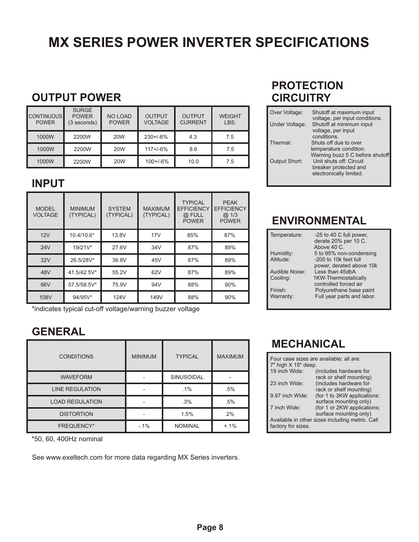# **MX SERIES POWER INVERTER SPECIFICATIONS**

### **OUTPUT POWER**

| <b>CONTINUOUS</b><br><b>POWER</b> | <b>SURGE</b><br><b>POWER</b><br>(3 seconds) | <b>NO LOAD</b><br><b>POWER</b> | <b>OUTPUT</b><br><b>VOLTAGE</b> | <b>OUTPUT</b><br><b>CURRENT</b> | <b>WEIGHT</b><br>LBS. |
|-----------------------------------|---------------------------------------------|--------------------------------|---------------------------------|---------------------------------|-----------------------|
| 1000W                             | 2200W                                       | 20 <sub>W</sub>                | $230 + 6%$                      | 4.3                             | 7.5                   |
| 1000W                             | 2200W                                       | <b>20W</b>                     | $117 + 6%$                      | 8.6                             | 7.5                   |
| 1000W                             | 2200W                                       | <b>20W</b>                     | $100 + (-6%)$                   | 10.0                            | 7.5                   |

### **INPUT**

| <b>MODEL</b><br><b>VOLTAGE</b> | <b>MINIMUM</b><br>(TYPICAL) | <b>SYSTEM</b><br>(TYPICAL) | <b>MAXIMUM</b><br>(TYPICAL) | <b>TYPICAL</b><br><b>EFFICIENCY</b><br>@ FULL<br><b>POWER</b> | <b>PEAK</b><br><b>EFFICIENCY</b><br>@.1/3<br><b>POWER</b> |
|--------------------------------|-----------------------------|----------------------------|-----------------------------|---------------------------------------------------------------|-----------------------------------------------------------|
| 12V                            | 10.4/10.6*                  | 13.8V                      | 17V                         | 85%                                                           | 87%                                                       |
| 24V                            | 19/21V*                     | 27.6V                      | 34V                         | 87%                                                           | 89%                                                       |
| 32V                            | 26.5/28V*                   | 36.8V                      | 45V                         | 87%                                                           | 89%                                                       |
| 48V                            | 41.5/42.5V*                 | 55.2V                      | 62V                         | 87%                                                           | 89%                                                       |
| 66V                            | 57.5/58.5V*                 | 75.9V                      | 94V                         | 88%                                                           | 90%                                                       |
| 108V                           | 94/95V*                     | 124V                       | 149V                        | 88%                                                           | 90%                                                       |

\*indicates typical cut-off voltage/warning buzzer voltage

### **GENERAL**

| <b>CONDITIONS</b>      | <b>MINIMUM</b> | <b>TYPICAL</b>    | <b>MAXIMUM</b> |
|------------------------|----------------|-------------------|----------------|
| <b>WAVEFORM</b>        |                | <b>SINUSOIDAL</b> |                |
| <b>LINE REGULATION</b> |                | $.1\%$            | .5%            |
| <b>LOAD REGULATION</b> |                | .3%               | .5%            |
| <b>DISTORTION</b>      |                | 1.5%              | 2%             |
| <b>FREQUENCY*</b>      | $-1%$          | <b>NOMINAL</b>    | $+.1\%$        |

\*50, 60, 400Hz nominal

See www.exeltech.com for more data regarding MX Series inverters.

### **PROTECTION CIRCUITRY**

| Over Voltage:        | Shutoff at maximum input<br>voltage, per input conditions. |
|----------------------|------------------------------------------------------------|
| Under Voltage:       | Shutoff at minimum input<br>voltage, per input             |
|                      | conditions.                                                |
| Thermal:             | Shuts off due to over                                      |
|                      | temperature condition.                                     |
|                      | Warning buzz 5 C before shutoff                            |
| <b>Output Short:</b> | Unit shuts off: Circuit                                    |
|                      | breaker protected and                                      |
|                      | electronically limited.                                    |
|                      |                                                            |

### **ENVIRONMENTAL**

| Temperature:   | -25 to 40 C full power,<br>derate 20% per 10 C.<br>Above 40 C. |
|----------------|----------------------------------------------------------------|
| Humidity:      | 5 to 95% non-condensing                                        |
|                |                                                                |
| Altitude:      | -200 to 10k feet full                                          |
|                | power, derated above 10k                                       |
| Audible Noise: | Less than 45dbA                                                |
| Cooling:       | 1KW-Thermostatically                                           |
|                | controlled forced air                                          |
| Finish:        | Polyurethane base paint                                        |
|                |                                                                |
| Warranty:      | Full year parts and labor.                                     |
|                |                                                                |

### **MECHANICAL**

| Four case sizes are available; all are:<br>$7"$ high $X$ 15" deep. |                                                       |  |
|--------------------------------------------------------------------|-------------------------------------------------------|--|
| 19 inch Wide:                                                      | (includes hardware for<br>rack or shelf mounting)     |  |
| 23 inch Wide:                                                      | (includes hardware for<br>rack or shelf mounting)     |  |
| 9.97 inch Wide:                                                    | (for 1 to 3KW applications:<br>surface mounting only) |  |
| 7 inch Wide:                                                       | (for 1 or 2KW applications;<br>surface mounting only) |  |
| factory for sizes.                                                 | Available in other sizes including metric. Call       |  |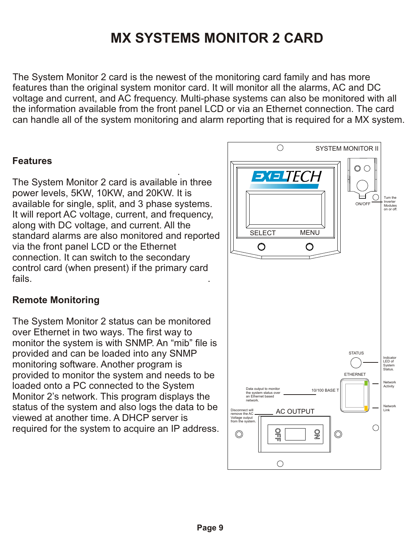# **MX SYSTEMS MONITOR 2 CARD**

The System Monitor 2 card is the newest of the monitoring card family and has more features than the original system monitor card. It will monitor all the alarms, AC and DC voltage and current, and AC frequency. Multi-phase systems can also be monitored with all the information available from the front panel LCD or via an Ethernet connection. The card can handle all of the system monitoring and alarm reporting that is required for a MX system.

### **Features**

 . The System Monitor 2 card is available in three power levels, 5KW, 10KW, and 20KW. It is available for single, split, and 3 phase systems. It will report AC voltage, current, and frequency, along with DC voltage, and current. All the standard alarms are also monitored and reported via the front panel LCD or the Ethernet connection. It can switch to the secondary control card (when present) if the primary card fails. .

### **Remote Monitoring**

The System Monitor 2 status can be monitored over Ethernet in two ways. The first way to monitor the system is with SNMP. An "mib" file is provided and can be loaded into any SNMP monitoring software. Another program is provided to monitor the system and needs to be loaded onto a PC connected to the System Monitor 2's network. This program displays the status of the system and also logs the data to be viewed at another time. A DHCP server is required for the system to acquire an IP address.